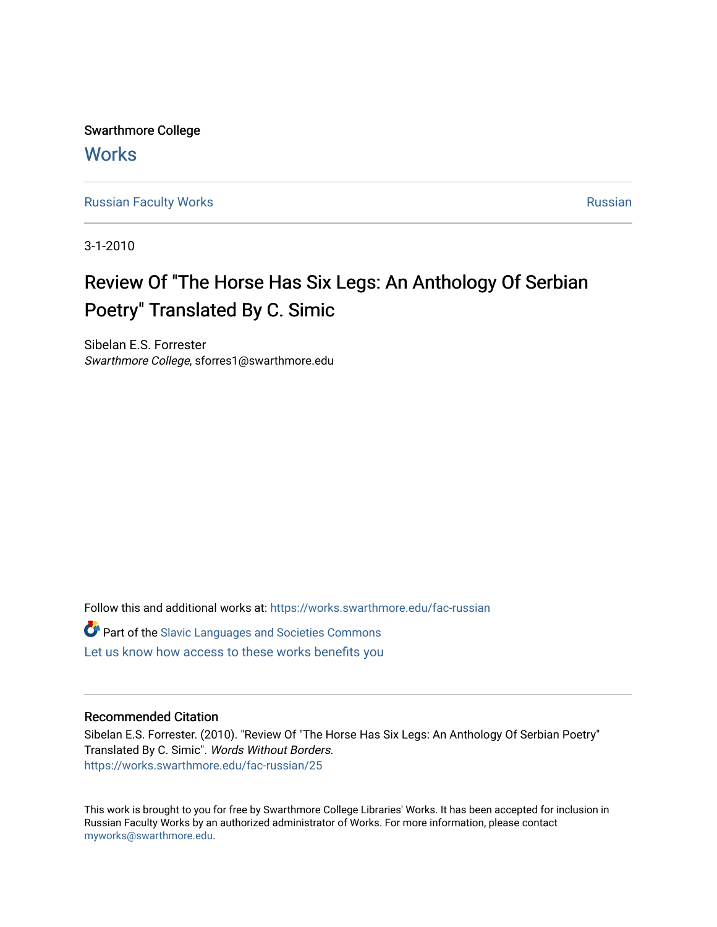Swarthmore College **Works** 

[Russian Faculty Works](https://works.swarthmore.edu/fac-russian) **Russian** [Russian](https://works.swarthmore.edu/russian) Russian Russian

3-1-2010

## Review Of "The Horse Has Six Legs: An Anthology Of Serbian Poetry" Translated By C. Simic

Sibelan E.S. Forrester Swarthmore College, sforres1@swarthmore.edu

Follow this and additional works at: [https://works.swarthmore.edu/fac-russian](https://works.swarthmore.edu/fac-russian?utm_source=works.swarthmore.edu%2Ffac-russian%2F25&utm_medium=PDF&utm_campaign=PDFCoverPages) 

**C** Part of the Slavic Languages and Societies Commons

[Let us know how access to these works benefits you](https://forms.gle/4MB8mE2GywC5965J8) 

#### Recommended Citation

Sibelan E.S. Forrester. (2010). "Review Of "The Horse Has Six Legs: An Anthology Of Serbian Poetry" Translated By C. Simic". Words Without Borders. <https://works.swarthmore.edu/fac-russian/25>

This work is brought to you for free by Swarthmore College Libraries' Works. It has been accepted for inclusion in Russian Faculty Works by an authorized administrator of Works. For more information, please contact [myworks@swarthmore.edu.](mailto:myworks@swarthmore.edu)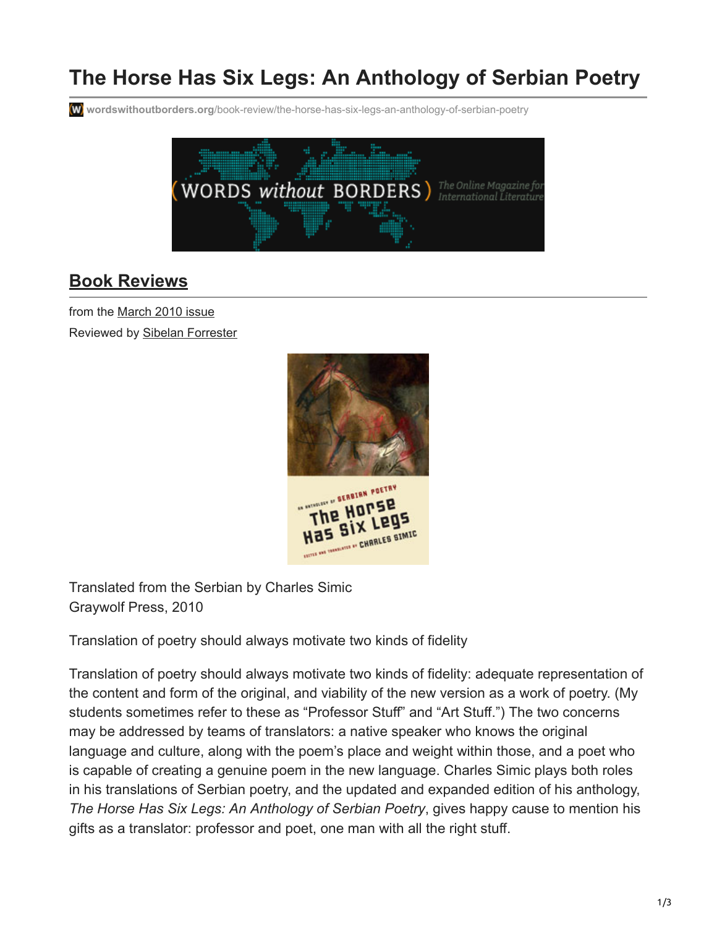# **The Horse Has Six Legs: An Anthology of Serbian Poetry**

**wordswithoutborders.org**[/book-review/the-horse-has-six-legs-an-anthology-of-serbian-poetry](https://www.wordswithoutborders.org/book-review/the-horse-has-six-legs-an-anthology-of-serbian-poetry)



### **[Book Reviews](https://www.wordswithoutborders.org/book-reviews/)**

from the [March 2010 issue](https://www.wordswithoutborders.org/issue/march-2010) Reviewed by [Sibelan Forrester](https://www.wordswithoutborders.org/contributor/sforres1)



Translated from the Serbian by Charles Simic Graywolf Press, 2010

Translation of poetry should always motivate two kinds of fidelity

Translation of poetry should always motivate two kinds of fidelity: adequate representation of the content and form of the original, and viability of the new version as a work of poetry. (My students sometimes refer to these as "Professor Stuff" and "Art Stuff.") The two concerns may be addressed by teams of translators: a native speaker who knows the original language and culture, along with the poem's place and weight within those, and a poet who is capable of creating a genuine poem in the new language. Charles Simic plays both roles in his translations of Serbian poetry, and the updated and expanded edition of his anthology, *The Horse Has Six Legs: An Anthology of Serbian Poetry*, gives happy cause to mention his gifts as a translator: professor and poet, one man with all the right stuff.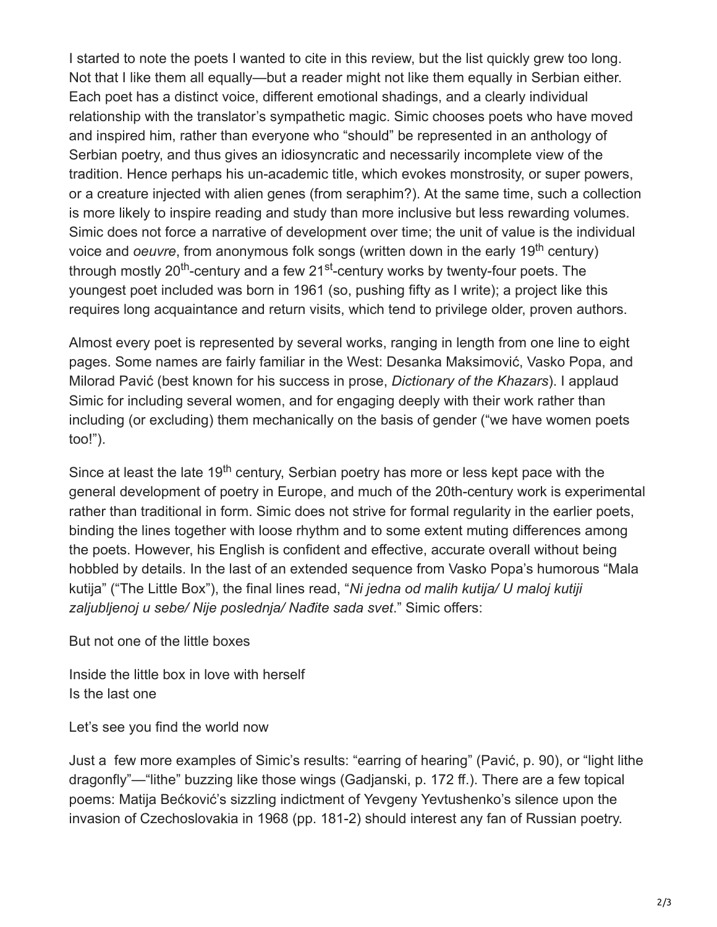I started to note the poets I wanted to cite in this review, but the list quickly grew too long. Not that I like them all equally—but a reader might not like them equally in Serbian either. Each poet has a distinct voice, different emotional shadings, and a clearly individual relationship with the translator's sympathetic magic. Simic chooses poets who have moved and inspired him, rather than everyone who "should" be represented in an anthology of Serbian poetry, and thus gives an idiosyncratic and necessarily incomplete view of the tradition. Hence perhaps his un-academic title, which evokes monstrosity, or super powers, or a creature injected with alien genes (from seraphim?). At the same time, such a collection is more likely to inspire reading and study than more inclusive but less rewarding volumes. Simic does not force a narrative of development over time; the unit of value is the individual voice and *oeuvre*, from anonymous folk songs (written down in the early 19<sup>th</sup> century) through mostly 20<sup>th</sup>-century and a few 21<sup>st</sup>-century works by twenty-four poets. The youngest poet included was born in 1961 (so, pushing fifty as I write); a project like this requires long acquaintance and return visits, which tend to privilege older, proven authors.

Almost every poet is represented by several works, ranging in length from one line to eight pages. Some names are fairly familiar in the West: Desanka Maksimović, Vasko Popa, and Milorad Pavić (best known for his success in prose, *Dictionary of the Khazars*). I applaud Simic for including several women, and for engaging deeply with their work rather than including (or excluding) them mechanically on the basis of gender ("we have women poets too!").

Since at least the late 19<sup>th</sup> century, Serbian poetry has more or less kept pace with the general development of poetry in Europe, and much of the 20th-century work is experimental rather than traditional in form. Simic does not strive for formal regularity in the earlier poets, binding the lines together with loose rhythm and to some extent muting differences among the poets. However, his English is confident and effective, accurate overall without being hobbled by details. In the last of an extended sequence from Vasko Popa's humorous "Mala kutija" ("The Little Box"), the final lines read, "*Ni jedna od malih kutija/ U maloj kutiji zaljubljenoj u sebe/ Nije poslednja/ Nađite sada svet*." Simic offers:

But not one of the little boxes

Inside the little box in love with herself Is the last one

Let's see you find the world now

Just a few more examples of Simic's results: "earring of hearing" (Pavić, p. 90), or "light lithe dragonfly"—"lithe" buzzing like those wings (Gadjanski, p. 172 ff.). There are a few topical poems: Matija Bećković's sizzling indictment of Yevgeny Yevtushenko's silence upon the invasion of Czechoslovakia in 1968 (pp. 181-2) should interest any fan of Russian poetry.